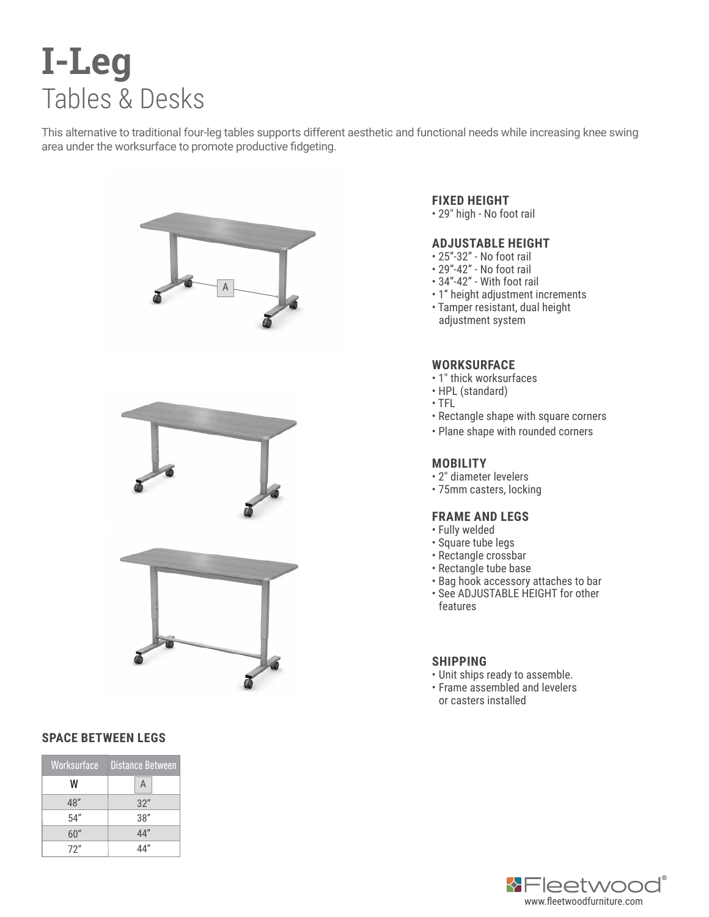# **I-Leg** Tables & Desks

This alternative to traditional four-leg tables supports different aesthetic and functional needs while increasing knee swing area under the worksurface to promote productive fidgeting.



### **SPACE BETWEEN LEGS**

| Worksurface | <b>Distance Between</b> |
|-------------|-------------------------|
| W           | A                       |
| 48"         | 32"                     |
| 54''        | 38"                     |
| 60″         | 44"                     |
| 72"         |                         |

# **FIXED HEIGHT**

• 29" high - No foot rail

# **ADJUSTABLE HEIGHT**

- 25"-32" No foot rail
- 29"-42" No foot rail
- 34"-42" With foot rail
- 1" height adjustment increments
- Tamper resistant, dual height adjustment system

## **WORKSURFACE**

- 1" thick worksurfaces
- HPL (standard)
- TFL
- Rectangle shape with square corners
- Plane shape with rounded corners

### **MOBILITY**

- 2" diameter levelers
- 75mm casters, locking

#### **FRAME AND LEGS**

- Fully welded
- Square tube legs
- Rectangle crossbar
- Rectangle tube base
- Bag hook accessory attaches to bar • See ADJUSTABLE HEIGHT for other
- features

### **SHIPPING**

- Unit ships ready to assemble.
- Frame assembled and levelers or casters installed